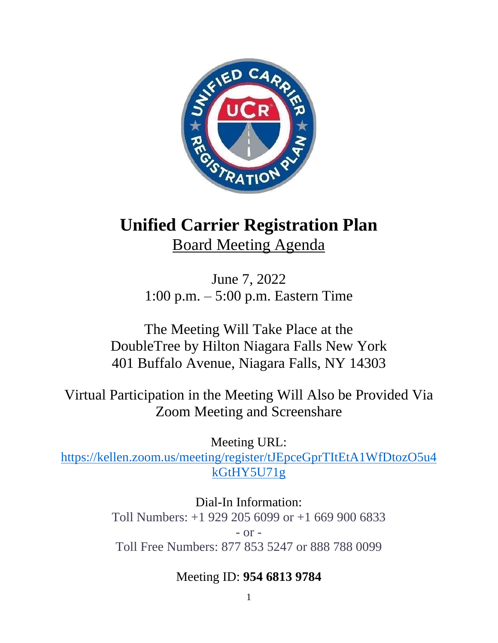

# **Unified Carrier Registration Plan** Board Meeting Agenda

June 7, 2022 1:00 p.m. – 5:00 p.m. Eastern Time

The Meeting Will Take Place at the DoubleTree by Hilton Niagara Falls New York 401 Buffalo Avenue, Niagara Falls, NY 14303

Virtual Participation in the Meeting Will Also be Provided Via Zoom Meeting and Screenshare

Meeting URL:

[https://kellen.zoom.us/meeting/register/tJEpceGprTItEtA1WfDtozO5u4](https://kellen.zoom.us/meeting/register/tJEpceGprTItEtA1WfDtozO5u4kGtHY5U71g) [kGtHY5U71g](https://kellen.zoom.us/meeting/register/tJEpceGprTItEtA1WfDtozO5u4kGtHY5U71g)

> Dial-In Information: Toll Numbers: +1 929 205 6099 or +1 669 900 6833  $-$  or  $-$ Toll Free Numbers: 877 853 5247 or 888 788 0099

# Meeting ID: **954 6813 9784**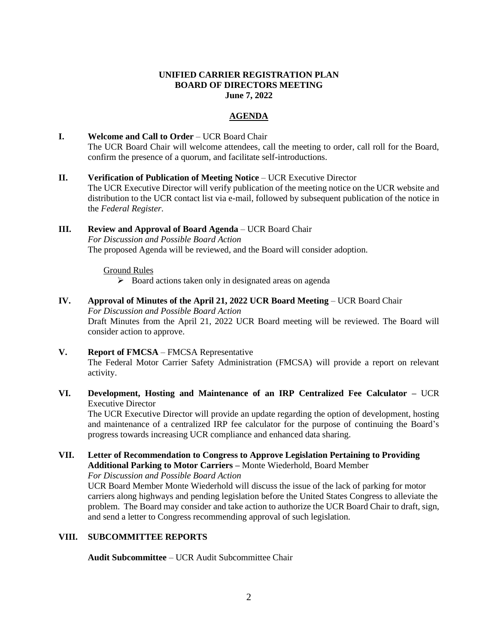#### **UNIFIED CARRIER REGISTRATION PLAN BOARD OF DIRECTORS MEETING June 7, 2022**

### **AGENDA**

## **I. Welcome and Call to Order** – UCR Board Chair The UCR Board Chair will welcome attendees, call the meeting to order, call roll for the Board, confirm the presence of a quorum, and facilitate self-introductions.

**II. Verification of Publication of Meeting Notice** – UCR Executive Director The UCR Executive Director will verify publication of the meeting notice on the UCR website and distribution to the UCR contact list via e-mail, followed by subsequent publication of the notice in the *Federal Register*.

### **III. Review and Approval of Board Agenda** – UCR Board Chair *For Discussion and Possible Board Action* The proposed Agenda will be reviewed, and the Board will consider adoption.

#### Ground Rules

- ➢ Board actions taken only in designated areas on agenda
- **IV. Approval of Minutes of the April 21, 2022 UCR Board Meeting** UCR Board Chair *For Discussion and Possible Board Action* Draft Minutes from the April 21, 2022 UCR Board meeting will be reviewed. The Board will consider action to approve.
- **V. Report of FMCSA** FMCSA Representative The Federal Motor Carrier Safety Administration (FMCSA) will provide a report on relevant activity.
- **VI. Development, Hosting and Maintenance of an IRP Centralized Fee Calculator –** UCR Executive Director

The UCR Executive Director will provide an update regarding the option of development, hosting and maintenance of a centralized IRP fee calculator for the purpose of continuing the Board's progress towards increasing UCR compliance and enhanced data sharing.

**VII. Letter of Recommendation to Congress to Approve Legislation Pertaining to Providing Additional Parking to Motor Carriers –** Monte Wiederhold, Board Member *For Discussion and Possible Board Action*

UCR Board Member Monte Wiederhold will discuss the issue of the lack of parking for motor

carriers along highways and pending legislation before the United States Congress to alleviate the problem. The Board may consider and take action to authorize the UCR Board Chair to draft, sign, and send a letter to Congress recommending approval of such legislation.

#### **VIII. SUBCOMMITTEE REPORTS**

**Audit Subcommittee** – UCR Audit Subcommittee Chair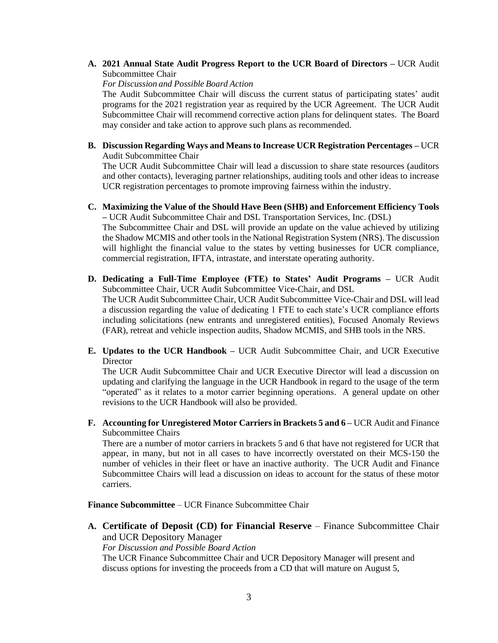#### **A. 2021 Annual State Audit Progress Report to the UCR Board of Directors –** UCR Audit Subcommittee Chair

*For Discussion and Possible Board Action*

The Audit Subcommittee Chair will discuss the current status of participating states' audit programs for the 2021 registration year as required by the UCR Agreement. The UCR Audit Subcommittee Chair will recommend corrective action plans for delinquent states. The Board may consider and take action to approve such plans as recommended.

**B. Discussion Regarding Ways and Means to Increase UCR Registration Percentages –** UCR Audit Subcommittee Chair

The UCR Audit Subcommittee Chair will lead a discussion to share state resources (auditors and other contacts), leveraging partner relationships, auditing tools and other ideas to increase UCR registration percentages to promote improving fairness within the industry.

**C. Maximizing the Value of the Should Have Been (SHB) and Enforcement Efficiency Tools –** UCR Audit Subcommittee Chair and DSL Transportation Services, Inc. (DSL)

The Subcommittee Chair and DSL will provide an update on the value achieved by utilizing the Shadow MCMIS and other tools in the National Registration System (NRS). The discussion will highlight the financial value to the states by vetting businesses for UCR compliance, commercial registration, IFTA, intrastate, and interstate operating authority.

- **D. Dedicating a Full-Time Employee (FTE) to States' Audit Programs –** UCR Audit Subcommittee Chair, UCR Audit Subcommittee Vice-Chair, and DSL The UCR Audit Subcommittee Chair, UCR Audit Subcommittee Vice-Chair and DSL will lead a discussion regarding the value of dedicating 1 FTE to each state's UCR compliance efforts including solicitations (new entrants and unregistered entities), Focused Anomaly Reviews (FAR), retreat and vehicle inspection audits, Shadow MCMIS, and SHB tools in the NRS.
- **E. Updates to the UCR Handbook –** UCR Audit Subcommittee Chair, and UCR Executive **Director**

The UCR Audit Subcommittee Chair and UCR Executive Director will lead a discussion on updating and clarifying the language in the UCR Handbook in regard to the usage of the term "operated" as it relates to a motor carrier beginning operations. A general update on other revisions to the UCR Handbook will also be provided.

**F. Accounting for Unregistered Motor Carriers in Brackets 5 and 6 –** UCR Audit and Finance Subcommittee Chairs

There are a number of motor carriers in brackets 5 and 6 that have not registered for UCR that appear, in many, but not in all cases to have incorrectly overstated on their MCS-150 the number of vehicles in their fleet or have an inactive authority. The UCR Audit and Finance Subcommittee Chairs will lead a discussion on ideas to account for the status of these motor carriers.

**Finance Subcommittee** – UCR Finance Subcommittee Chair

**A. Certificate of Deposit (CD) for Financial Reserve** – Finance Subcommittee Chair and UCR Depository Manager

*For Discussion and Possible Board Action*

The UCR Finance Subcommittee Chair and UCR Depository Manager will present and discuss options for investing the proceeds from a CD that will mature on August 5,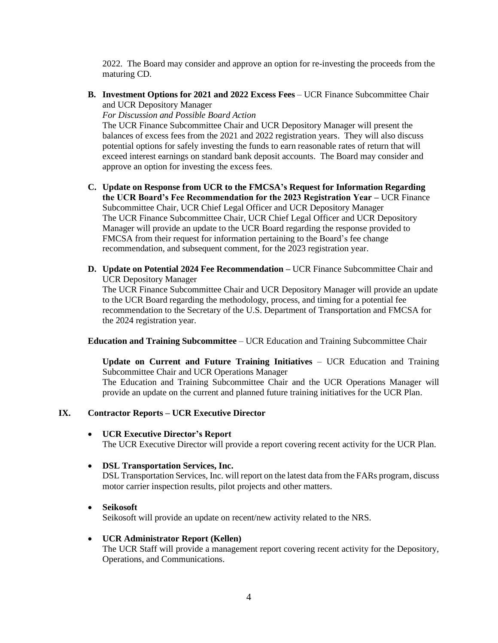2022. The Board may consider and approve an option for re-investing the proceeds from the maturing CD.

**B. Investment Options for 2021 and 2022 Excess Fees** – UCR Finance Subcommittee Chair and UCR Depository Manager

*For Discussion and Possible Board Action*

The UCR Finance Subcommittee Chair and UCR Depository Manager will present the balances of excess fees from the 2021 and 2022 registration years. They will also discuss potential options for safely investing the funds to earn reasonable rates of return that will exceed interest earnings on standard bank deposit accounts. The Board may consider and approve an option for investing the excess fees.

- **C. Update on Response from UCR to the FMCSA's Request for Information Regarding the UCR Board's Fee Recommendation for the 2023 Registration Year –** UCR Finance Subcommittee Chair, UCR Chief Legal Officer and UCR Depository Manager The UCR Finance Subcommittee Chair, UCR Chief Legal Officer and UCR Depository Manager will provide an update to the UCR Board regarding the response provided to FMCSA from their request for information pertaining to the Board's fee change recommendation, and subsequent comment, for the 2023 registration year.
- **D. Update on Potential 2024 Fee Recommendation –** UCR Finance Subcommittee Chair and UCR Depository Manager

The UCR Finance Subcommittee Chair and UCR Depository Manager will provide an update to the UCR Board regarding the methodology, process, and timing for a potential fee recommendation to the Secretary of the U.S. Department of Transportation and FMCSA for the 2024 registration year.

**Education and Training Subcommittee** – UCR Education and Training Subcommittee Chair

**Update on Current and Future Training Initiatives** – UCR Education and Training Subcommittee Chair and UCR Operations Manager

The Education and Training Subcommittee Chair and the UCR Operations Manager will provide an update on the current and planned future training initiatives for the UCR Plan.

### **IX. Contractor Reports – UCR Executive Director**

#### • **UCR Executive Director's Report**

The UCR Executive Director will provide a report covering recent activity for the UCR Plan.

#### • **DSL Transportation Services, Inc.**

DSL Transportation Services, Inc. will report on the latest data from the FARs program, discuss motor carrier inspection results, pilot projects and other matters.

#### • **Seikosoft**

Seikosoft will provide an update on recent/new activity related to the NRS.

#### • **UCR Administrator Report (Kellen)**

The UCR Staff will provide a management report covering recent activity for the Depository, Operations, and Communications.